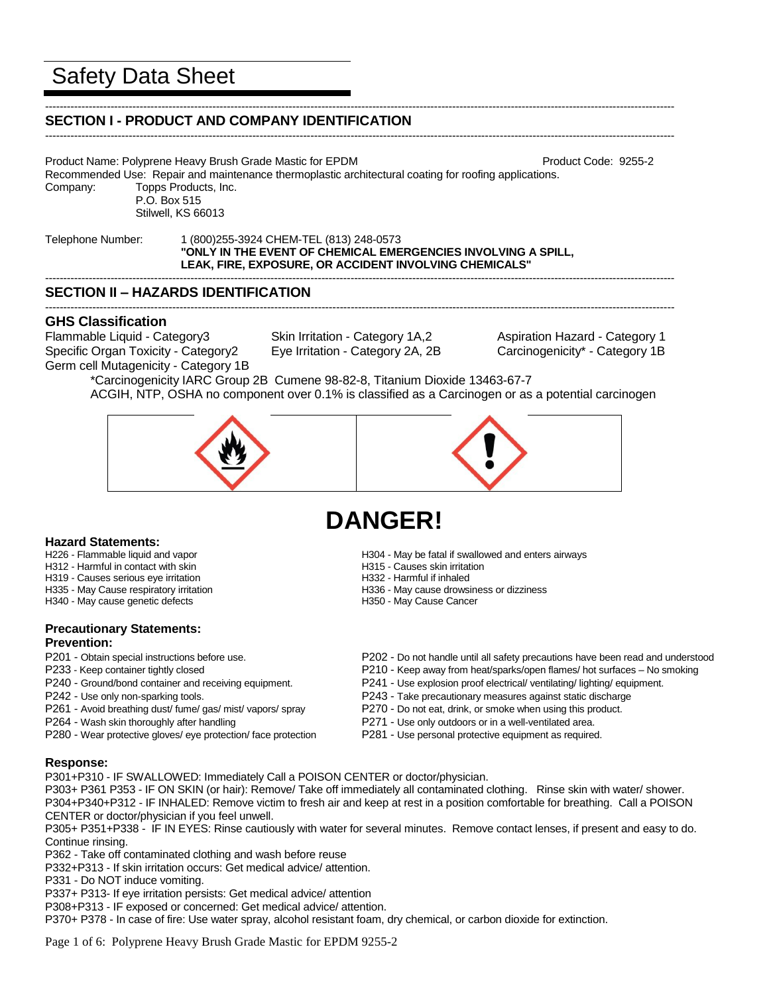# Safety Data Sheet

#### ----------------------------------------------------------------------------------------------------------------------------------------------------------------------------- **SECTION I - PRODUCT AND COMPANY IDENTIFICATION**

----------------------------------------------------------------------------------------------------------------------------------------------------------------------------- Product Name: Polyprene Heavy Brush Grade Mastic for EPDM Product Name: 9255-2

Recommended Use: Repair and maintenance thermoplastic architectural coating for roofing applications. Company: Topps Products, Inc.

P.O. Box 515 Stilwell, KS 66013

Telephone Number: 1 (800)255-3924 CHEM-TEL (813) 248-0573 **"ONLY IN THE EVENT OF CHEMICAL EMERGENCIES INVOLVING A SPILL, LEAK, FIRE, EXPOSURE, OR ACCIDENT INVOLVING CHEMICALS"**

# **SECTION II – HAZARDS IDENTIFICATION**

# **GHS Classification**

Flammable Liquid - Category3 Skin Irritation - Category 1A,2 Aspiration Hazard - Category 1 Specific Organ Toxicity - Category2 Eye Irritation - Category 2A, 2B Carcinogenicity\* - Category 1B Germ cell Mutagenicity - Category 1B

-----------------------------------------------------------------------------------------------------------------------------------------------------------------------------

-----------------------------------------------------------------------------------------------------------------------------------------------------------------------------

\*Carcinogenicity IARC Group 2B Cumene 98-82-8, Titanium Dioxide 13463-67-7 ACGIH, NTP, OSHA no component over 0.1% is classified as a Carcinogen or as a potential carcinogen



# **DANGER!**

- **Hazard Statements:**<br>H226 Flammable liquid and vapor
- H312 Harmful in contact with skin
- H319 Causes serious eye irritation H332 Harmful if inhaled
- 
- H340 May cause genetic defects

# **Precautionary Statements: Prevention:**

- 
- 
- 
- P261 Avoid breathing dust/ fume/ gas/ mist/ vapors/ spray P270 Do not eat, drink, or smoke when using this product.
- 
- P280 Wear protective gloves/ eye protection/ face protection P281 Use personal protective equipment as required.
- H304 May be fatal if swallowed and enters airways<br>H315 Causes skin irritation
- 
- 
- H335 May Cause respiratory irritation extended to the H336 May cause drowsiness or dizziness H340 May cause genetic defects extended to H350 May Cause Cancer
	-
- P201 Obtain special instructions before use. P202 Do not handle until all safety precautions have been read and understood
- P233 Keep container tightly closed P210 Keep away from heat/sparks/open flames/ hot surfaces No smoking
- P240 Ground/bond container and receiving equipment. P241 Use explosion proof electrical/ ventilating/ lighting/ equipment.
- P242 Use only non-sparking tools. P243 Take precautionary measures against static discharge
	-
- P264 Wash skin thoroughly after handling example and part of P271 Use only outdoors or in a well-ventilated area.
	-

# **Response:**

P301+P310 - IF SWALLOWED: Immediately Call a POISON CENTER or doctor/physician.

P303+ P361 P353 - IF ON SKIN (or hair): Remove/ Take off immediately all contaminated clothing. Rinse skin with water/ shower. P304+P340+P312 - IF INHALED: Remove victim to fresh air and keep at rest in a position comfortable for breathing. Call a POISON CENTER or doctor/physician if you feel unwell.

P305+ P351+P338 - IF IN EYES: Rinse cautiously with water for several minutes. Remove contact lenses, if present and easy to do. Continue rinsing.

P362 - Take off contaminated clothing and wash before reuse

P332+P313 - If skin irritation occurs: Get medical advice/ attention.

P331 - Do NOT induce vomiting.

P337+ P313- If eye irritation persists: Get medical advice/ attention

P308+P313 - IF exposed or concerned: Get medical advice/ attention.

P370+ P378 - In case of fire: Use water spray, alcohol resistant foam, dry chemical, or carbon dioxide for extinction.

Page 1 of 6: Polyprene Heavy Brush Grade Mastic for EPDM 9255-2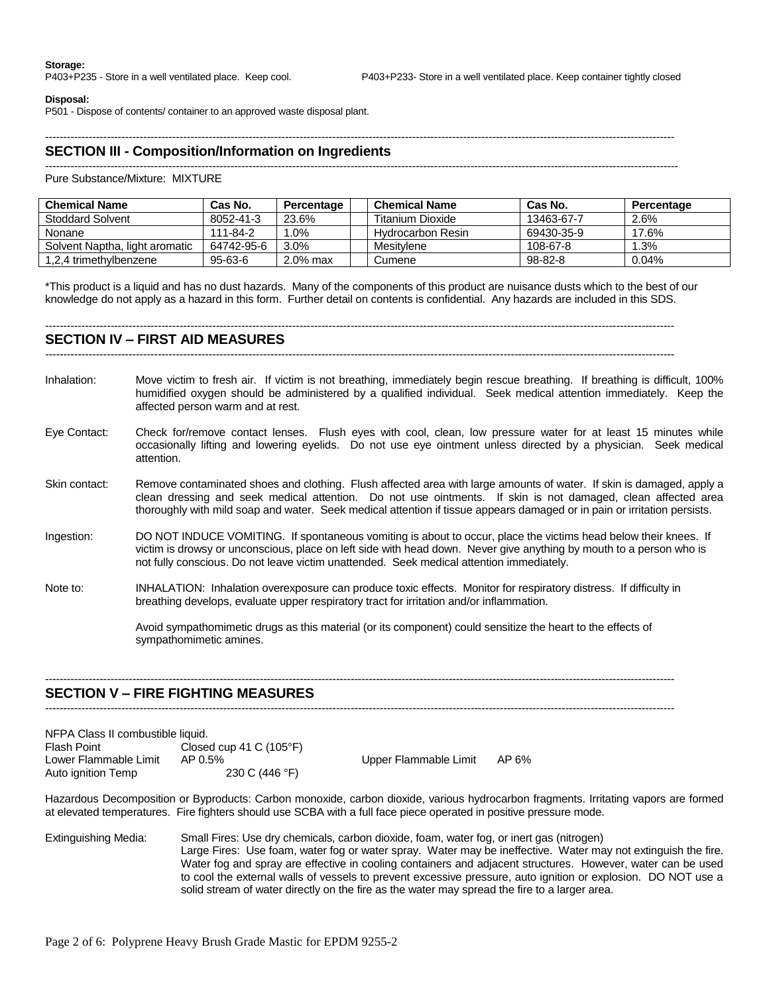#### **Disposal:**

P501 - Dispose of contents/ container to an approved waste disposal plant.

#### -----------------------------------------------------------------------------------------------------------------------------------------------------------------------------

# **SECTION III - Composition/Information on Ingredients**

#### ------------------------------------------------------------------------------------------------------------------------------------------------------------------------------

Pure Substance/Mixture: MIXTURE

| <b>Chemical Name</b>           | Cas No.    | Percentage | <b>Chemical Name</b> | Cas No.    | Percentage |
|--------------------------------|------------|------------|----------------------|------------|------------|
| <b>Stoddard Solvent</b>        | 8052-41-3  | 23.6%      | Titanium Dioxide     | 13463-67-7 | 2.6%       |
| Nonane                         | 111-84-2   | .0%        | Hvdrocarbon Resin    | 69430-35-9 | 17.6%      |
| Solvent Naptha, light aromatic | 64742-95-6 | 3.0%       | Mesitylene           | 108-67-8   | 1.3%       |
| 1.2.4 trimethylbenzene         | 95-63-6    | 2.0% max   | Cumene               | 98-82-8    | 0.04%      |

\*This product is a liquid and has no dust hazards. Many of the components of this product are nuisance dusts which to the best of our knowledge do not apply as a hazard in this form. Further detail on contents is confidential. Any hazards are included in this SDS.

#### **SECTION IV – FIRST AID MEASURES**

-----------------------------------------------------------------------------------------------------------------------------------------------------------------------------

-----------------------------------------------------------------------------------------------------------------------------------------------------------------------------

- Inhalation: Move victim to fresh air. If victim is not breathing, immediately begin rescue breathing. If breathing is difficult, 100% humidified oxygen should be administered by a qualified individual. Seek medical attention immediately. Keep the affected person warm and at rest.
- Eye Contact: Check for/remove contact lenses. Flush eyes with cool, clean, low pressure water for at least 15 minutes while occasionally lifting and lowering eyelids. Do not use eye ointment unless directed by a physician. Seek medical attention.
- Skin contact: Remove contaminated shoes and clothing. Flush affected area with large amounts of water. If skin is damaged, apply a clean dressing and seek medical attention. Do not use ointments. If skin is not damaged, clean affected area thoroughly with mild soap and water. Seek medical attention if tissue appears damaged or in pain or irritation persists.
- Ingestion: DO NOT INDUCE VOMITING. If spontaneous vomiting is about to occur, place the victims head below their knees. If victim is drowsy or unconscious, place on left side with head down. Never give anything by mouth to a person who is not fully conscious. Do not leave victim unattended. Seek medical attention immediately.
- Note to: INHALATION: Inhalation overexposure can produce toxic effects. Monitor for respiratory distress. If difficulty in breathing develops, evaluate upper respiratory tract for irritation and/or inflammation.

-----------------------------------------------------------------------------------------------------------------------------------------------------------------------------

-----------------------------------------------------------------------------------------------------------------------------------------------------------------------------

Avoid sympathomimetic drugs as this material (or its component) could sensitize the heart to the effects of sympathomimetic amines.

#### **SECTION V – FIRE FIGHTING MEASURES**

| NFPA Class II combustible liquid. |                                  |                       |       |
|-----------------------------------|----------------------------------|-----------------------|-------|
| <b>Flash Point</b>                | Closed cup 41 C $(105^{\circ}F)$ |                       |       |
| Lower Flammable Limit             | AP 0.5%                          | Upper Flammable Limit | AP 6% |
| Auto ignition Temp                | 230 C (446 °F)                   |                       |       |

Hazardous Decomposition or Byproducts: Carbon monoxide, carbon dioxide, various hydrocarbon fragments. Irritating vapors are formed at elevated temperatures. Fire fighters should use SCBA with a full face piece operated in positive pressure mode.

Extinguishing Media: Small Fires: Use dry chemicals, carbon dioxide, foam, water fog, or inert gas (nitrogen) Large Fires: Use foam, water fog or water spray. Water may be ineffective. Water may not extinguish the fire. Water fog and spray are effective in cooling containers and adjacent structures. However, water can be used to cool the external walls of vessels to prevent excessive pressure, auto ignition or explosion. DO NOT use a solid stream of water directly on the fire as the water may spread the fire to a larger area.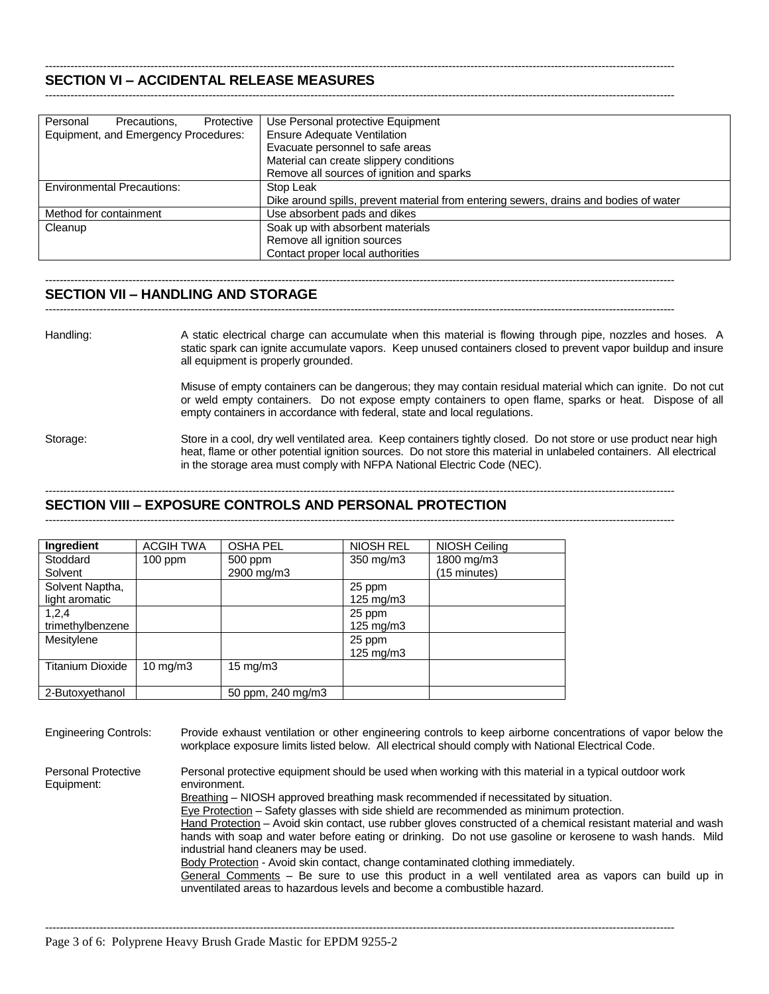#### ----------------------------------------------------------------------------------------------------------------------------------------------------------------------------- **SECTION VI – ACCIDENTAL RELEASE MEASURES**

| Personal<br>Protective<br>Precautions. | Use Personal protective Equipment                                                     |
|----------------------------------------|---------------------------------------------------------------------------------------|
| Equipment, and Emergency Procedures:   | <b>Ensure Adequate Ventilation</b>                                                    |
|                                        | Evacuate personnel to safe areas                                                      |
|                                        | Material can create slippery conditions                                               |
|                                        | Remove all sources of ignition and sparks                                             |
| <b>Environmental Precautions:</b>      | Stop Leak                                                                             |
|                                        | Dike around spills, prevent material from entering sewers, drains and bodies of water |
| Method for containment                 | Use absorbent pads and dikes                                                          |
| Cleanup                                | Soak up with absorbent materials                                                      |
|                                        | Remove all ignition sources                                                           |
|                                        | Contact proper local authorities                                                      |

-----------------------------------------------------------------------------------------------------------------------------------------------------------------------------

-----------------------------------------------------------------------------------------------------------------------------------------------------------------------------

-----------------------------------------------------------------------------------------------------------------------------------------------------------------------------

#### **SECTION VII – HANDLING AND STORAGE**

Handling: A static electrical charge can accumulate when this material is flowing through pipe, nozzles and hoses. A static spark can ignite accumulate vapors. Keep unused containers closed to prevent vapor buildup and insure all equipment is properly grounded.

> Misuse of empty containers can be dangerous; they may contain residual material which can ignite. Do not cut or weld empty containers. Do not expose empty containers to open flame, sparks or heat. Dispose of all empty containers in accordance with federal, state and local regulations.

Storage: Store in a cool, dry well ventilated area. Keep containers tightly closed. Do not store or use product near high heat, flame or other potential ignition sources. Do not store this material in unlabeled containers. All electrical in the storage area must comply with NFPA National Electric Code (NEC).

#### -----------------------------------------------------------------------------------------------------------------------------------------------------------------------------

**SECTION VIII – EXPOSURE CONTROLS AND PERSONAL PROTECTION** -----------------------------------------------------------------------------------------------------------------------------------------------------------------------------

| Ingredient              | <b>ACGIH TWA</b> | <b>OSHA PEL</b>   | NIOSH REL          | NIOSH Ceiling |
|-------------------------|------------------|-------------------|--------------------|---------------|
| Stoddard                | $100$ ppm        | 500 ppm           | 350 mg/m3          | 1800 mg/m3    |
| Solvent                 |                  | 2900 mg/m3        |                    | (15 minutes)  |
| Solvent Naptha,         |                  |                   | 25 ppm             |               |
| light aromatic          |                  |                   | $125 \text{ mg/m}$ |               |
| 1,2,4                   |                  |                   | 25 ppm             |               |
| trimethylbenzene        |                  |                   | $125 \text{ mg/m}$ |               |
| Mesitylene              |                  |                   | 25 ppm             |               |
|                         |                  |                   | 125 mg/m3          |               |
| <b>Titanium Dioxide</b> | 10 mg/m $3$      | $15 \text{ mg/m}$ |                    |               |
|                         |                  |                   |                    |               |
| 2-Butoxyethanol         |                  | 50 ppm, 240 mg/m3 |                    |               |

Engineering Controls: Provide exhaust ventilation or other engineering controls to keep airborne concentrations of vapor below the workplace exposure limits listed below. All electrical should comply with National Electrical Code.

Personal Protective Personal protective equipment should be used when working with this material in a typical outdoor work

Equipment: environment.

Breathing – NIOSH approved breathing mask recommended if necessitated by situation.

Eye Protection – Safety glasses with side shield are recommended as minimum protection.

Hand Protection – Avoid skin contact, use rubber gloves constructed of a chemical resistant material and wash hands with soap and water before eating or drinking. Do not use gasoline or kerosene to wash hands. Mild industrial hand cleaners may be used.

Body Protection - Avoid skin contact, change contaminated clothing immediately.

-----------------------------------------------------------------------------------------------------------------------------------------------------------------------------

General Comments – Be sure to use this product in a well ventilated area as vapors can build up in unventilated areas to hazardous levels and become a combustible hazard.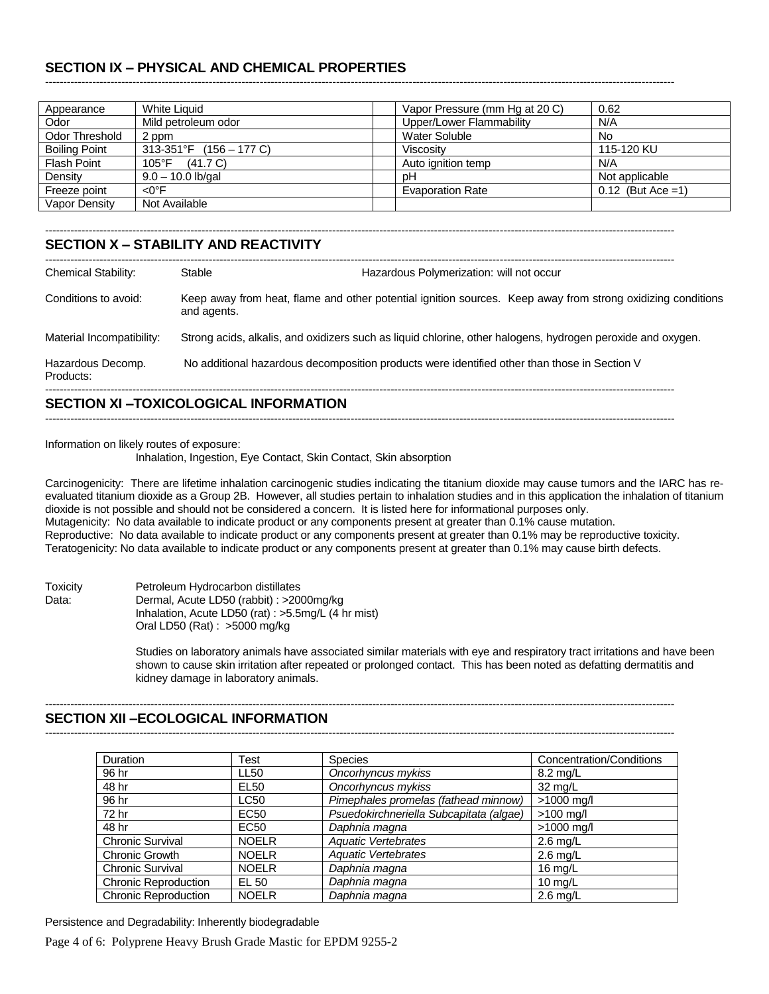# **SECTION IX – PHYSICAL AND CHEMICAL PROPERTIES**

| Appearance           | <b>White Liquid</b>         | Vapor Pressure (mm Hg at 20 C) | 0.62                 |
|----------------------|-----------------------------|--------------------------------|----------------------|
| Odor                 | Mild petroleum odor         | Upper/Lower Flammability       | N/A                  |
| Odor Threshold       | 2 ppm                       | Water Soluble                  | No.                  |
| <b>Boiling Point</b> | $313-351$ °F (156 – 177 C)  | Viscositv                      | 115-120 KU           |
| <b>Flash Point</b>   | $105^{\circ}$ F<br>(41.7 C) | Auto ignition temp             | N/A                  |
| Density              | $9.0 - 10.0$ lb/gal         | рH                             | Not applicable       |
| Freeze point         | $<$ O°F                     | <b>Evaporation Rate</b>        | $0.12$ (But Ace = 1) |
| Vapor Density        | Not Available               |                                |                      |

-----------------------------------------------------------------------------------------------------------------------------------------------------------------------------

#### ----------------------------------------------------------------------------------------------------------------------------------------------------------------------------- **SECTION X – STABILITY AND REACTIVITY**

| <b>Chemical Stability:</b>     | Stable                                                                                       | Hazardous Polymerization: will not occur |                                                                                                             |
|--------------------------------|----------------------------------------------------------------------------------------------|------------------------------------------|-------------------------------------------------------------------------------------------------------------|
| Conditions to avoid:           | and agents.                                                                                  |                                          | Keep away from heat, flame and other potential ignition sources. Keep away from strong oxidizing conditions |
| Material Incompatibility:      |                                                                                              |                                          | Strong acids, alkalis, and oxidizers such as liquid chlorine, other halogens, hydrogen peroxide and oxygen. |
| Hazardous Decomp.<br>Products: | No additional hazardous decomposition products were identified other than those in Section V |                                          |                                                                                                             |
|                                |                                                                                              |                                          |                                                                                                             |

# **SECTION XI –TOXICOLOGICAL INFORMATION**

Information on likely routes of exposure:

Inhalation, Ingestion, Eye Contact, Skin Contact, Skin absorption

Carcinogenicity: There are lifetime inhalation carcinogenic studies indicating the titanium dioxide may cause tumors and the IARC has reevaluated titanium dioxide as a Group 2B. However, all studies pertain to inhalation studies and in this application the inhalation of titanium dioxide is not possible and should not be considered a concern. It is listed here for informational purposes only. Mutagenicity: No data available to indicate product or any components present at greater than 0.1% cause mutation. Reproductive: No data available to indicate product or any components present at greater than 0.1% may be reproductive toxicity. Teratogenicity: No data available to indicate product or any components present at greater than 0.1% may cause birth defects.

-----------------------------------------------------------------------------------------------------------------------------------------------------------------------------

Toxicity Petroleum Hydrocarbon distillates<br>Data: Dermal. Acute LD50 (rabbit) : >200 Dermal, Acute LD50 (rabbit) : >2000mg/kg Inhalation, Acute LD50 (rat) : >5.5mg/L (4 hr mist) Oral LD50 (Rat) : >5000 mg/kg

> Studies on laboratory animals have associated similar materials with eye and respiratory tract irritations and have been shown to cause skin irritation after repeated or prolonged contact. This has been noted as defatting dermatitis and kidney damage in laboratory animals.

#### ----------------------------------------------------------------------------------------------------------------------------------------------------------------------------- **SECTION XII –ECOLOGICAL INFORMATION**

-----------------------------------------------------------------------------------------------------------------------------------------------------------------------------

| <b>Duration</b>             | Test         | <b>Species</b>                          | Concentration/Conditions |
|-----------------------------|--------------|-----------------------------------------|--------------------------|
| 96 hr                       | LL50         | Oncorhyncus mykiss                      | 8.2 mg/L                 |
| 48 hr                       | <b>EL50</b>  | Oncorhyncus mykiss                      | 32 mg/L                  |
| 96 hr                       | LC50         | Pimephales promelas (fathead minnow)    | $>1000$ mg/l             |
| 72 hr                       | EC50         | Psuedokirchneriella Subcapitata (algae) | $>100$ mg/l              |
| 48 hr                       | EC50         | Daphnia magna                           | $>1000$ mg/l             |
| <b>Chronic Survival</b>     | <b>NOELR</b> | <b>Aquatic Vertebrates</b>              | $2.6$ mg/L               |
| Chronic Growth              | <b>NOELR</b> | <b>Aquatic Vertebrates</b>              | $2.6$ mg/L               |
| <b>Chronic Survival</b>     | <b>NOELR</b> | Daphnia magna                           | $16 \text{ mg/L}$        |
| <b>Chronic Reproduction</b> | EL 50        | Daphnia magna                           | 10 $mg/L$                |
| <b>Chronic Reproduction</b> | <b>NOELR</b> | Daphnia magna                           | $2.6$ mg/L               |

Persistence and Degradability: Inherently biodegradable

Page 4 of 6: Polyprene Heavy Brush Grade Mastic for EPDM 9255-2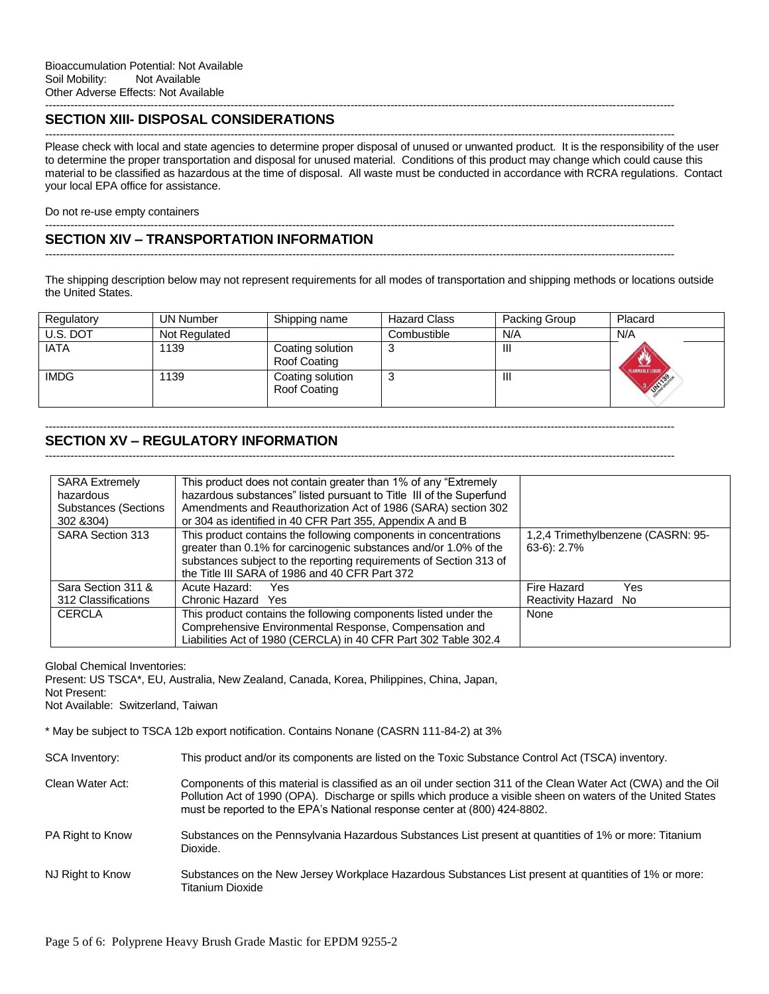### **SECTION XIII- DISPOSAL CONSIDERATIONS**

Please check with local and state agencies to determine proper disposal of unused or unwanted product. It is the responsibility of the user to determine the proper transportation and disposal for unused material. Conditions of this product may change which could cause this material to be classified as hazardous at the time of disposal. All waste must be conducted in accordance with RCRA regulations. Contact your local EPA office for assistance.

-----------------------------------------------------------------------------------------------------------------------------------------------------------------------------

-----------------------------------------------------------------------------------------------------------------------------------------------------------------------------

Do not re-use empty containers

#### ----------------------------------------------------------------------------------------------------------------------------------------------------------------------------- **SECTION XIV – TRANSPORTATION INFORMATION**

The shipping description below may not represent requirements for all modes of transportation and shipping methods or locations outside the United States.

-----------------------------------------------------------------------------------------------------------------------------------------------------------------------------

| Regulatory  | <b>UN Number</b> | Shipping name                    | <b>Hazard Class</b> | Packing Group | Placard                           |
|-------------|------------------|----------------------------------|---------------------|---------------|-----------------------------------|
| U.S. DOT    | Not Regulated    |                                  | Combustible         | N/A           | N/A                               |
| <b>IATA</b> | 1139             | Coating solution<br>Roof Coating | د.                  | ш             | Ű                                 |
| <b>IMDG</b> | 1139             | Coating solution<br>Roof Coating | د.                  | ш             | FLAMMABLE LIQUID<br><b>ONTISS</b> |

### ----------------------------------------------------------------------------------------------------------------------------------------------------------------------------- **SECTION XV – REGULATORY INFORMATION**

-----------------------------------------------------------------------------------------------------------------------------------------------------------------------------

| <b>SARA Extremely</b><br>hazardous<br><b>Substances (Sections</b><br>302 & 304) | This product does not contain greater than 1% of any "Extremely<br>hazardous substances" listed pursuant to Title III of the Superfund<br>Amendments and Reauthorization Act of 1986 (SARA) section 302<br>or 304 as identified in 40 CFR Part 355, Appendix A and B |                                                     |
|---------------------------------------------------------------------------------|----------------------------------------------------------------------------------------------------------------------------------------------------------------------------------------------------------------------------------------------------------------------|-----------------------------------------------------|
| <b>SARA Section 313</b>                                                         | This product contains the following components in concentrations<br>greater than 0.1% for carcinogenic substances and/or 1.0% of the<br>substances subject to the reporting requirements of Section 313 of<br>the Title III SARA of 1986 and 40 CFR Part 372         | 1,2,4 Trimethylbenzene (CASRN: 95-<br>$63-6$ : 2.7% |
| Sara Section 311 &                                                              | Acute Hazard:<br>Yes                                                                                                                                                                                                                                                 | Fire Hazard<br>Yes                                  |
| 312 Classifications                                                             | Chronic Hazard Yes                                                                                                                                                                                                                                                   | Reactivity Hazard No                                |
| <b>CERCLA</b>                                                                   | This product contains the following components listed under the                                                                                                                                                                                                      | None                                                |
|                                                                                 | Comprehensive Environmental Response, Compensation and                                                                                                                                                                                                               |                                                     |
|                                                                                 | Liabilities Act of 1980 (CERCLA) in 40 CFR Part 302 Table 302.4                                                                                                                                                                                                      |                                                     |

Global Chemical Inventories:

Present: US TSCA\*, EU, Australia, New Zealand, Canada, Korea, Philippines, China, Japan,

Not Present:

Not Available: Switzerland, Taiwan

\* May be subject to TSCA 12b export notification. Contains Nonane (CASRN 111-84-2) at 3%

| <b>SCA Inventory:</b> | This product and/or its components are listed on the Toxic Substance Control Act (TSCA) inventory. |  |  |  |
|-----------------------|----------------------------------------------------------------------------------------------------|--|--|--|
|-----------------------|----------------------------------------------------------------------------------------------------|--|--|--|

- Clean Water Act: Components of this material is classified as an oil under section 311 of the Clean Water Act (CWA) and the Oil Pollution Act of 1990 (OPA). Discharge or spills which produce a visible sheen on waters of the United States must be reported to the EPA's National response center at (800) 424-8802.
- PA Right to Know Substances on the Pennsylvania Hazardous Substances List present at quantities of 1% or more: Titanium Dioxide.
- NJ Right to Know Substances on the New Jersey Workplace Hazardous Substances List present at quantities of 1% or more: Titanium Dioxide